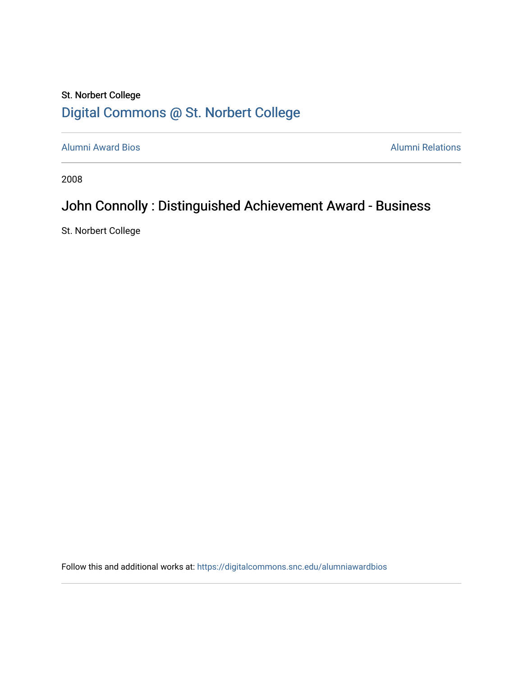## St. Norbert College [Digital Commons @ St. Norbert College](https://digitalcommons.snc.edu/)

[Alumni Award Bios](https://digitalcommons.snc.edu/alumniawardbios) **Alumni Relations** Alumni Relations

2008

## John Connolly : Distinguished Achievement Award - Business

St. Norbert College

Follow this and additional works at: [https://digitalcommons.snc.edu/alumniawardbios](https://digitalcommons.snc.edu/alumniawardbios?utm_source=digitalcommons.snc.edu%2Falumniawardbios%2F35&utm_medium=PDF&utm_campaign=PDFCoverPages)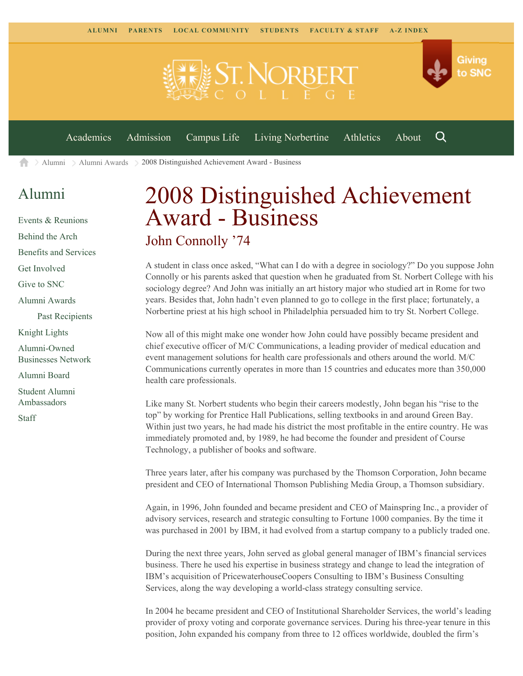

[Alumni](https://www.snc.edu/alumni/) [Alumni Awards](https://www.snc.edu/alumni/awards/) 2008 Distinguished Achievement Award - Business ▲

## [Alumni](https://www.snc.edu/alumni/index.html)

[Events & Reunions](https://www.snc.edu/alumni/event/index.html) [Behind the Arch](https://www.snc.edu/alumni/event/behindthearch/) [Benefits and Services](https://www.snc.edu/alumni/benefits.html) [Get Involved](https://www.snc.edu/alumni/getinvolved.html) [Give to SNC](http://giving.snc.edu/) [Alumni Awards](https://www.snc.edu/alumni/awards/index.html) [Past Recipients](https://www.snc.edu/alumni/awards/recipients.html) [Knight Lights](https://www.snc.edu/alumni/knightlights/index.html) [Alumni-Owned](https://www.snc.edu/alumni/directory/index.html) [Businesses Network](https://www.snc.edu/alumni/directory/index.html) [Alumni Board](https://www.snc.edu/alumni/alumniboard.html) [Student Alumni](https://www.snc.edu/alumni/saa.html) [Ambassadors](https://www.snc.edu/alumni/saa.html) [Staff](https://www.snc.edu/alumni/contactus.html)

## 2008 Distinguished Achievement Award - Business John Connolly '74

A student in class once asked, "What can I do with a degree in sociology?" Do you suppose John Connolly or his parents asked that question when he graduated from St. Norbert College with his sociology degree? And John was initially an art history major who studied art in Rome for two years. Besides that, John hadn't even planned to go to college in the first place; fortunately, a Norbertine priest at his high school in Philadelphia persuaded him to try St. Norbert College.

Now all of this might make one wonder how John could have possibly became president and chief executive officer of M/C Communications, a leading provider of medical education and event management solutions for health care professionals and others around the world. M/C Communications currently operates in more than 15 countries and educates more than 350,000 health care professionals.

Like many St. Norbert students who begin their careers modestly, John began his "rise to the top" by working for Prentice Hall Publications, selling textbooks in and around Green Bay. Within just two years, he had made his district the most profitable in the entire country. He was immediately promoted and, by 1989, he had become the founder and president of Course Technology, a publisher of books and software.

Three years later, after his company was purchased by the Thomson Corporation, John became president and CEO of International Thomson Publishing Media Group, a Thomson subsidiary.

Again, in 1996, John founded and became president and CEO of Mainspring Inc., a provider of advisory services, research and strategic consulting to Fortune 1000 companies. By the time it was purchased in 2001 by IBM, it had evolved from a startup company to a publicly traded one.

During the next three years, John served as global general manager of IBM's financial services business. There he used his expertise in business strategy and change to lead the integration of IBM's acquisition of PricewaterhouseCoopers Consulting to IBM's Business Consulting Services, along the way developing a world-class strategy consulting service.

In 2004 he became president and CEO of Institutional Shareholder Services, the world's leading provider of proxy voting and corporate governance services. During his three-year tenure in this position, John expanded his company from three to 12 offices worldwide, doubled the firm's